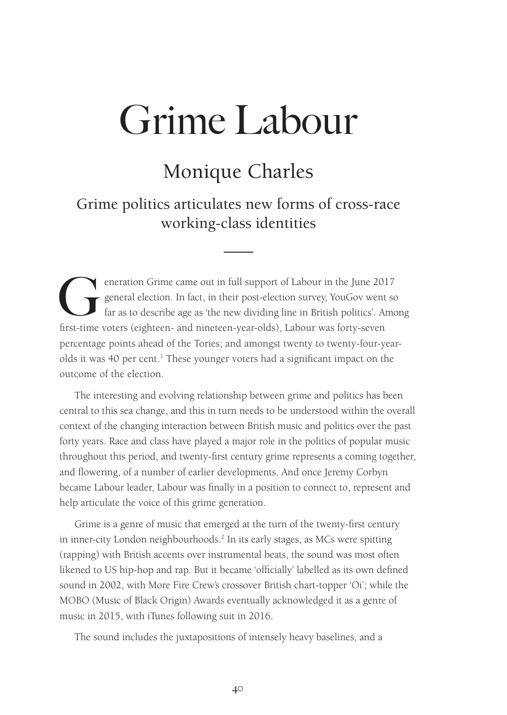## Monique Charles

Grime politics articulates new forms of cross-race working-class identities

eneration Grime came out in full support of Labour in the June 2017<br>general election. In fact, in their post-election survey, YouGov went so<br>far as to describe age as 'the new dividing line in British politics'. Amo<br>firstgeneral election. In fact, in their post-election survey, YouGov went so far as to describe age as 'the new dividing line in British politics'. Among first-time voters (eighteen- and nineteen-year-olds), Labour was forty-seven percentage points ahead of the Tories; and amongst twenty to twenty-four-yearolds it was 40 per cent.<sup>1</sup> These younger voters had a significant impact on the outcome of the election.

The interesting and evolving relationship between grime and politics has been central to this sea change, and this in turn needs to be understood within the overall context of the changing interaction between British music and politics over the past forty years. Race and class have played a major role in the politics of popular music throughout this period, and twenty-first century grime represents a coming together, and flowering, of a number of earlier developments. And once Jeremy Corbyn became Labour leader, Labour was finally in a position to connect to, represent and help articulate the voice of this grime generation.

Grime is a genre of music that emerged at the turn of the twenty-first century in inner-city London neighbourhoods.2 In its early stages, as MCs were spitting (rapping) with British accents over instrumental beats, the sound was most often likened to US hip-hop and rap. But it became 'officially' labelled as its own defined sound in 2002, with More Fire Crew's crossover British chart-topper 'Oi'; while the MOBO (Music of Black Origin) Awards eventually acknowledged it as a genre of music in 2015, with iTunes following suit in 2016.

The sound includes the juxtapositions of intensely heavy baselines, and a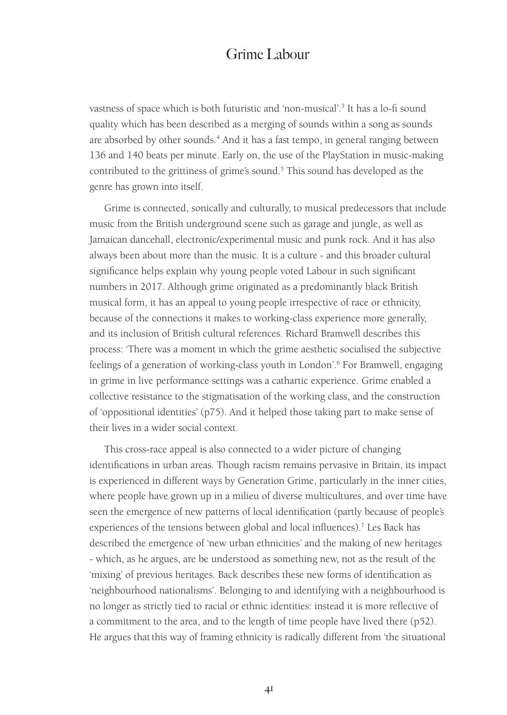vastness of space which is both futuristic and 'non-musical'.3 It has a lo-fi sound quality which has been described as a merging of sounds within a song as sounds are absorbed by other sounds.<sup>4</sup> And it has a fast tempo, in general ranging between 136 and 140 beats per minute. Early on, the use of the PlayStation in music-making contributed to the grittiness of grime's sound.<sup>5</sup> This sound has developed as the genre has grown into itself.

Grime is connected, sonically and culturally, to musical predecessors that include music from the British underground scene such as garage and jungle, as well as Jamaican dancehall, electronic/experimental music and punk rock. And it has also always been about more than the music. It is a culture - and this broader cultural significance helps explain why young people voted Labour in such significant numbers in 2017. Although grime originated as a predominantly black British musical form, it has an appeal to young people irrespective of race or ethnicity, because of the connections it makes to working-class experience more generally, and its inclusion of British cultural references. Richard Bramwell describes this process: 'There was a moment in which the grime aesthetic socialised the subjective feelings of a generation of working-class youth in London'.6 For Bramwell, engaging in grime in live performance settings was a cathartic experience. Grime enabled a collective resistance to the stigmatisation of the working class, and the construction of 'oppositional identities' (p75). And it helped those taking part to make sense of their lives in a wider social context.

This cross-race appeal is also connected to a wider picture of changing identifications in urban areas. Though racism remains pervasive in Britain, its impact is experienced in different ways by Generation Grime, particularly in the inner cities, where people have grown up in a milieu of diverse multicultures, and over time have seen the emergence of new patterns of local identification (partly because of people's experiences of the tensions between global and local influences).<sup>7</sup> Les Back has described the emergence of 'new urban ethnicities' and the making of new heritages - which, as he argues, are be understood as something new, not as the result of the 'mixing' of previous heritages. Back describes these new forms of identification as 'neighbourhood nationalisms'. Belonging to and identifying with a neighbourhood is no longer as strictly tied to racial or ethnic identities: instead it is more reflective of a commitment to the area, and to the length of time people have lived there (p52). He argues that this way of framing ethnicity is radically different from 'the situational

41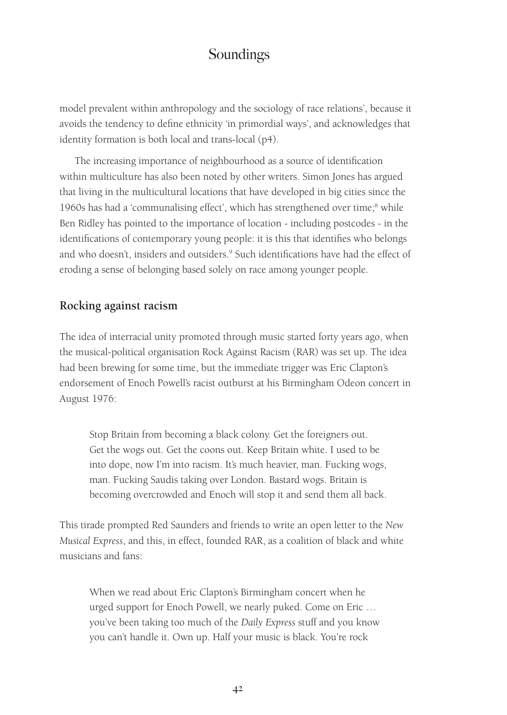model prevalent within anthropology and the sociology of race relations', because it avoids the tendency to define ethnicity 'in primordial ways', and acknowledges that identity formation is both local and trans-local (p4).

The increasing importance of neighbourhood as a source of identification within multiculture has also been noted by other writers. Simon Jones has argued that living in the multicultural locations that have developed in big cities since the 1960s has had a 'communalising effect', which has strengthened over time;<sup>8</sup> while Ben Ridley has pointed to the importance of location - including postcodes - in the identifications of contemporary young people: it is this that identifies who belongs and who doesn't, insiders and outsiders.<sup>9</sup> Such identifications have had the effect of eroding a sense of belonging based solely on race among younger people.

#### **Rocking against racism**

The idea of interracial unity promoted through music started forty years ago, when the musical-political organisation Rock Against Racism (RAR) was set up. The idea had been brewing for some time, but the immediate trigger was Eric Clapton's endorsement of Enoch Powell's racist outburst at his Birmingham Odeon concert in August 1976:

Stop Britain from becoming a black colony. Get the foreigners out. Get the wogs out. Get the coons out. Keep Britain white. I used to be into dope, now I'm into racism. It's much heavier, man. Fucking wogs, man. Fucking Saudis taking over London. Bastard wogs. Britain is becoming overcrowded and Enoch will stop it and send them all back.

This tirade prompted Red Saunders and friends to write an open letter to the *New Musical Express*, and this, in effect, founded RAR, as a coalition of black and white musicians and fans:

When we read about Eric Clapton's Birmingham concert when he urged support for Enoch Powell, we nearly puked. Come on Eric … you've been taking too much of the *Daily Express* stuff and you know you can't handle it. Own up. Half your music is black. You're rock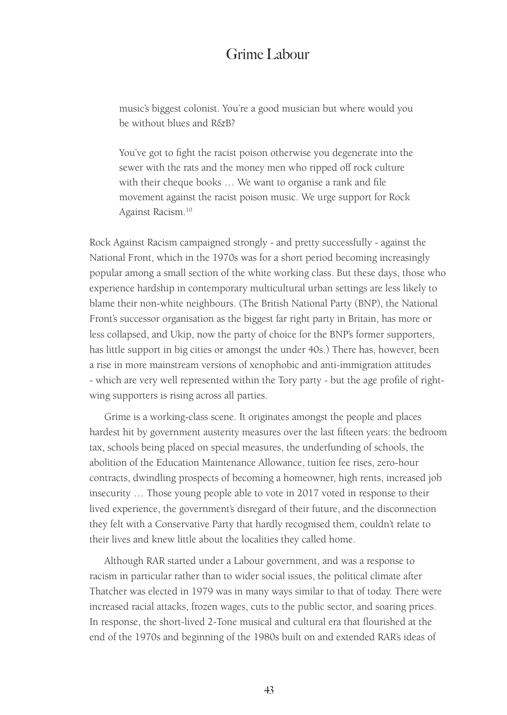music's biggest colonist. You're a good musician but where would you be without blues and R&B?

You've got to fight the racist poison otherwise you degenerate into the sewer with the rats and the money men who ripped off rock culture with their cheque books … We want to organise a rank and file movement against the racist poison music. We urge support for Rock Against Racism.10

Rock Against Racism campaigned strongly - and pretty successfully - against the National Front, which in the 1970s was for a short period becoming increasingly popular among a small section of the white working class. But these days, those who experience hardship in contemporary multicultural urban settings are less likely to blame their non-white neighbours. (The British National Party (BNP), the National Front's successor organisation as the biggest far right party in Britain, has more or less collapsed, and Ukip, now the party of choice for the BNP's former supporters, has little support in big cities or amongst the under 40s.) There has, however, been a rise in more mainstream versions of xenophobic and anti-immigration attitudes - which are very well represented within the Tory party - but the age profile of rightwing supporters is rising across all parties.

Grime is a working-class scene. It originates amongst the people and places hardest hit by government austerity measures over the last fifteen years: the bedroom tax, schools being placed on special measures, the underfunding of schools, the abolition of the Education Maintenance Allowance, tuition fee rises, zero-hour contracts, dwindling prospects of becoming a homeowner, high rents, increased job insecurity … Those young people able to vote in 2017 voted in response to their lived experience, the government's disregard of their future, and the disconnection they felt with a Conservative Party that hardly recognised them, couldn't relate to their lives and knew little about the localities they called home.

Although RAR started under a Labour government, and was a response to racism in particular rather than to wider social issues, the political climate after Thatcher was elected in 1979 was in many ways similar to that of today. There were increased racial attacks, frozen wages, cuts to the public sector, and soaring prices. In response, the short-lived 2-Tone musical and cultural era that flourished at the end of the 1970s and beginning of the 1980s built on and extended RAR's ideas of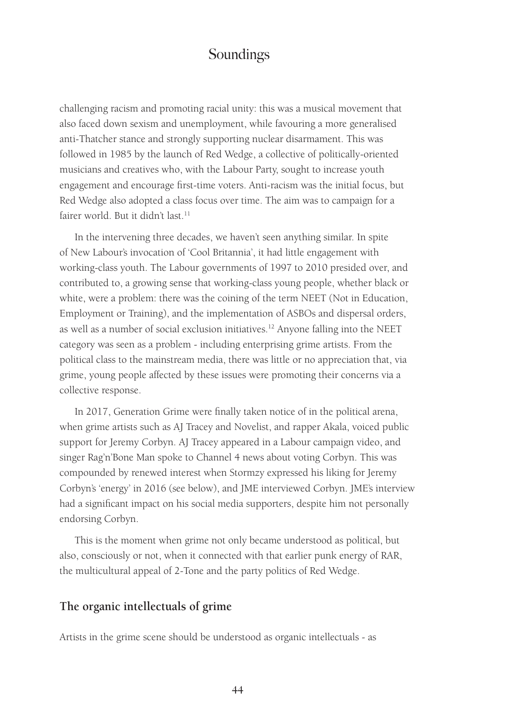challenging racism and promoting racial unity: this was a musical movement that also faced down sexism and unemployment, while favouring a more generalised anti-Thatcher stance and strongly supporting nuclear disarmament. This was followed in 1985 by the launch of Red Wedge, a collective of politically-oriented musicians and creatives who, with the Labour Party, sought to increase youth engagement and encourage first-time voters. Anti-racism was the initial focus, but Red Wedge also adopted a class focus over time. The aim was to campaign for a fairer world. But it didn't last.<sup>11</sup>

In the intervening three decades, we haven't seen anything similar. In spite of New Labour's invocation of 'Cool Britannia', it had little engagement with working-class youth. The Labour governments of 1997 to 2010 presided over, and contributed to, a growing sense that working-class young people, whether black or white, were a problem: there was the coining of the term NEET (Not in Education, Employment or Training), and the implementation of ASBOs and dispersal orders, as well as a number of social exclusion initiatives.12 Anyone falling into the NEET category was seen as a problem - including enterprising grime artists. From the political class to the mainstream media, there was little or no appreciation that, via grime, young people affected by these issues were promoting their concerns via a collective response.

In 2017, Generation Grime were finally taken notice of in the political arena, when grime artists such as AJ Tracey and Novelist, and rapper Akala, voiced public support for Jeremy Corbyn. AJ Tracey appeared in a Labour campaign video, and singer Rag'n'Bone Man spoke to Channel 4 news about voting Corbyn. This was compounded by renewed interest when Stormzy expressed his liking for Jeremy Corbyn's 'energy' in 2016 (see below), and JME interviewed Corbyn. JME's interview had a significant impact on his social media supporters, despite him not personally endorsing Corbyn.

This is the moment when grime not only became understood as political, but also, consciously or not, when it connected with that earlier punk energy of RAR, the multicultural appeal of 2-Tone and the party politics of Red Wedge.

#### **The organic intellectuals of grime**

Artists in the grime scene should be understood as organic intellectuals - as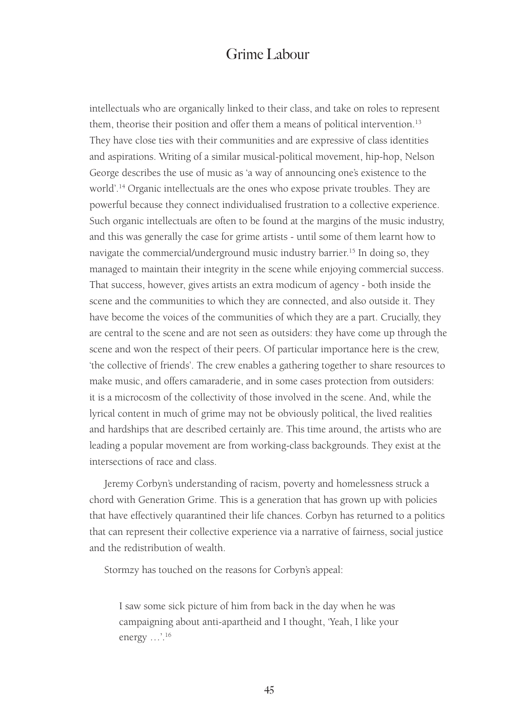intellectuals who are organically linked to their class, and take on roles to represent them, theorise their position and offer them a means of political intervention.<sup>13</sup> They have close ties with their communities and are expressive of class identities and aspirations. Writing of a similar musical-political movement, hip-hop, Nelson George describes the use of music as 'a way of announcing one's existence to the world'.14 Organic intellectuals are the ones who expose private troubles. They are powerful because they connect individualised frustration to a collective experience. Such organic intellectuals are often to be found at the margins of the music industry, and this was generally the case for grime artists - until some of them learnt how to navigate the commercial/underground music industry barrier.<sup>15</sup> In doing so, they managed to maintain their integrity in the scene while enjoying commercial success. That success, however, gives artists an extra modicum of agency - both inside the scene and the communities to which they are connected, and also outside it. They have become the voices of the communities of which they are a part. Crucially, they are central to the scene and are not seen as outsiders: they have come up through the scene and won the respect of their peers. Of particular importance here is the crew, 'the collective of friends'. The crew enables a gathering together to share resources to make music, and offers camaraderie, and in some cases protection from outsiders: it is a microcosm of the collectivity of those involved in the scene. And, while the lyrical content in much of grime may not be obviously political, the lived realities and hardships that are described certainly are. This time around, the artists who are leading a popular movement are from working-class backgrounds. They exist at the intersections of race and class.

Jeremy Corbyn's understanding of racism, poverty and homelessness struck a chord with Generation Grime. This is a generation that has grown up with policies that have effectively quarantined their life chances. Corbyn has returned to a politics that can represent their collective experience via a narrative of fairness, social justice and the redistribution of wealth.

Stormzy has touched on the reasons for Corbyn's appeal:

I saw some sick picture of him from back in the day when he was campaigning about anti-apartheid and I thought, 'Yeah, I like your energy …'.16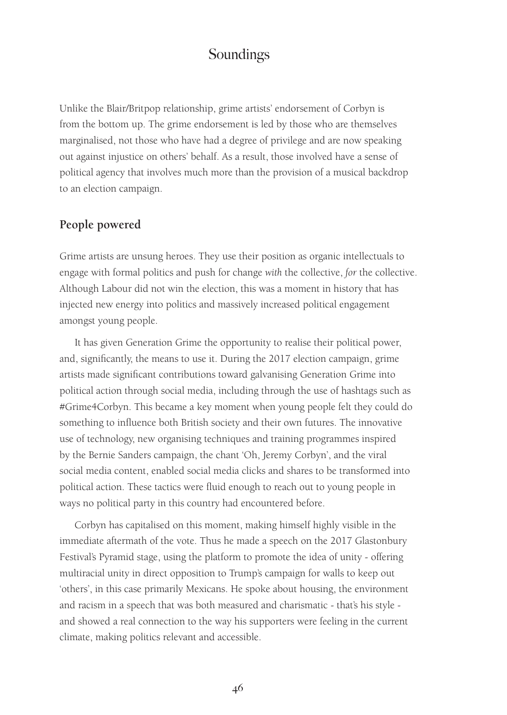Unlike the Blair/Britpop relationship, grime artists' endorsement of Corbyn is from the bottom up. The grime endorsement is led by those who are themselves marginalised, not those who have had a degree of privilege and are now speaking out against injustice on others' behalf. As a result, those involved have a sense of political agency that involves much more than the provision of a musical backdrop to an election campaign.

#### **People powered**

Grime artists are unsung heroes. They use their position as organic intellectuals to engage with formal politics and push for change *with* the collective, *for* the collective. Although Labour did not win the election, this was a moment in history that has injected new energy into politics and massively increased political engagement amongst young people.

It has given Generation Grime the opportunity to realise their political power, and, significantly, the means to use it. During the 2017 election campaign, grime artists made significant contributions toward galvanising Generation Grime into political action through social media, including through the use of hashtags such as #Grime4Corbyn. This became a key moment when young people felt they could do something to influence both British society and their own futures. The innovative use of technology, new organising techniques and training programmes inspired by the Bernie Sanders campaign, the chant 'Oh, Jeremy Corbyn', and the viral social media content, enabled social media clicks and shares to be transformed into political action. These tactics were fluid enough to reach out to young people in ways no political party in this country had encountered before.

Corbyn has capitalised on this moment, making himself highly visible in the immediate aftermath of the vote. Thus he made a speech on the 2017 Glastonbury Festival's Pyramid stage, using the platform to promote the idea of unity - offering multiracial unity in direct opposition to Trump's campaign for walls to keep out 'others', in this case primarily Mexicans. He spoke about housing, the environment and racism in a speech that was both measured and charismatic - that's his style and showed a real connection to the way his supporters were feeling in the current climate, making politics relevant and accessible.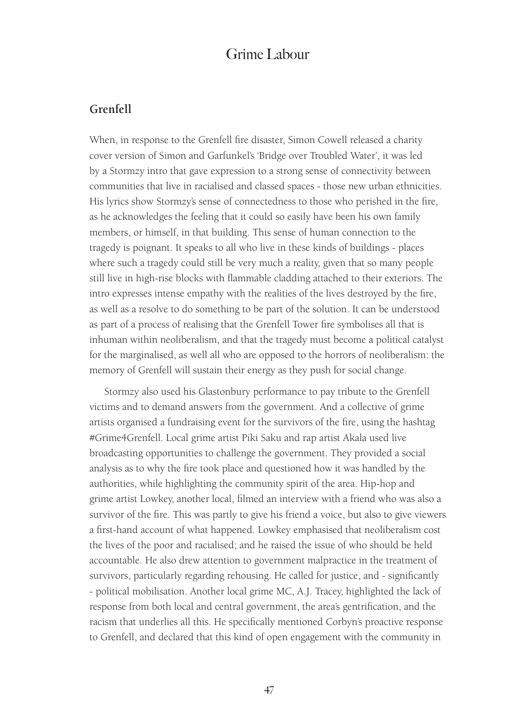#### **Grenfell**

When, in response to the Grenfell fire disaster, Simon Cowell released a charity cover version of Simon and Garfunkel's 'Bridge over Troubled Water', it was led by a Stormzy intro that gave expression to a strong sense of connectivity between communities that live in racialised and classed spaces - those new urban ethnicities. His lyrics show Stormzy's sense of connectedness to those who perished in the fire, as he acknowledges the feeling that it could so easily have been his own family members, or himself, in that building. This sense of human connection to the tragedy is poignant. It speaks to all who live in these kinds of buildings - places where such a tragedy could still be very much a reality, given that so many people still live in high-rise blocks with flammable cladding attached to their exteriors. The intro expresses intense empathy with the realities of the lives destroyed by the fire, as well as a resolve to do something to be part of the solution. It can be understood as part of a process of realising that the Grenfell Tower fire symbolises all that is inhuman within neoliberalism, and that the tragedy must become a political catalyst for the marginalised, as well all who are opposed to the horrors of neoliberalism: the memory of Grenfell will sustain their energy as they push for social change.

Stormzy also used his Glastonbury performance to pay tribute to the Grenfell victims and to demand answers from the government. And a collective of grime artists organised a fundraising event for the survivors of the fire, using the hashtag #Grime4Grenfell. Local grime artist Piki Saku and rap artist Akala used live broadcasting opportunities to challenge the government. They provided a social analysis as to why the fire took place and questioned how it was handled by the authorities, while highlighting the community spirit of the area. Hip-hop and grime artist Lowkey, another local, filmed an interview with a friend who was also a survivor of the fire. This was partly to give his friend a voice, but also to give viewers a first-hand account of what happened. Lowkey emphasised that neoliberalism cost the lives of the poor and racialised; and he raised the issue of who should be held accountable. He also drew attention to government malpractice in the treatment of survivors, particularly regarding rehousing. He called for justice, and - significantly - political mobilisation. Another local grime MC, A.J. Tracey, highlighted the lack of response from both local and central government, the area's gentrification, and the racism that underlies all this. He specifically mentioned Corbyn's proactive response to Grenfell, and declared that this kind of open engagement with the community in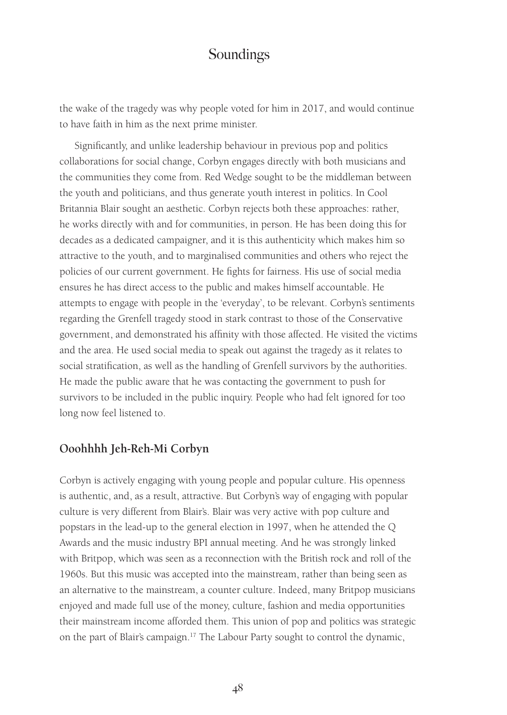the wake of the tragedy was why people voted for him in 2017, and would continue to have faith in him as the next prime minister.

Significantly, and unlike leadership behaviour in previous pop and politics collaborations for social change, Corbyn engages directly with both musicians and the communities they come from. Red Wedge sought to be the middleman between the youth and politicians, and thus generate youth interest in politics. In Cool Britannia Blair sought an aesthetic. Corbyn rejects both these approaches: rather, he works directly with and for communities, in person. He has been doing this for decades as a dedicated campaigner, and it is this authenticity which makes him so attractive to the youth, and to marginalised communities and others who reject the policies of our current government. He fights for fairness. His use of social media ensures he has direct access to the public and makes himself accountable. He attempts to engage with people in the 'everyday', to be relevant. Corbyn's sentiments regarding the Grenfell tragedy stood in stark contrast to those of the Conservative government, and demonstrated his affinity with those affected. He visited the victims and the area. He used social media to speak out against the tragedy as it relates to social stratification, as well as the handling of Grenfell survivors by the authorities. He made the public aware that he was contacting the government to push for survivors to be included in the public inquiry. People who had felt ignored for too long now feel listened to.

#### **Ooohhhh Jeh-Reh-Mi Corbyn**

Corbyn is actively engaging with young people and popular culture. His openness is authentic, and, as a result, attractive. But Corbyn's way of engaging with popular culture is very different from Blair's. Blair was very active with pop culture and popstars in the lead-up to the general election in 1997, when he attended the Q Awards and the music industry BPI annual meeting. And he was strongly linked with Britpop, which was seen as a reconnection with the British rock and roll of the 1960s. But this music was accepted into the mainstream, rather than being seen as an alternative to the mainstream, a counter culture. Indeed, many Britpop musicians enjoyed and made full use of the money, culture, fashion and media opportunities their mainstream income afforded them. This union of pop and politics was strategic on the part of Blair's campaign.17 The Labour Party sought to control the dynamic,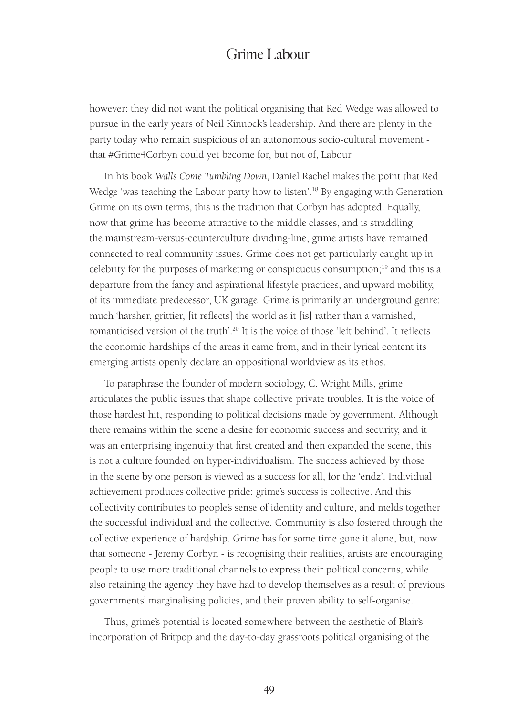however: they did not want the political organising that Red Wedge was allowed to pursue in the early years of Neil Kinnock's leadership. And there are plenty in the party today who remain suspicious of an autonomous socio-cultural movement that #Grime4Corbyn could yet become for, but not of, Labour.

In his book *Walls Come Tumbling Down*, Daniel Rachel makes the point that Red Wedge 'was teaching the Labour party how to listen'.<sup>18</sup> By engaging with Generation Grime on its own terms, this is the tradition that Corbyn has adopted. Equally, now that grime has become attractive to the middle classes, and is straddling the mainstream-versus-counterculture dividing-line, grime artists have remained connected to real community issues. Grime does not get particularly caught up in celebrity for the purposes of marketing or conspicuous consumption;19 and this is a departure from the fancy and aspirational lifestyle practices, and upward mobility, of its immediate predecessor, UK garage. Grime is primarily an underground genre: much 'harsher, grittier, [it reflects] the world as it [is] rather than a varnished, romanticised version of the truth'.<sup>20</sup> It is the voice of those 'left behind'. It reflects the economic hardships of the areas it came from, and in their lyrical content its emerging artists openly declare an oppositional worldview as its ethos.

To paraphrase the founder of modern sociology, C. Wright Mills, grime articulates the public issues that shape collective private troubles. It is the voice of those hardest hit, responding to political decisions made by government. Although there remains within the scene a desire for economic success and security, and it was an enterprising ingenuity that first created and then expanded the scene, this is not a culture founded on hyper-individualism. The success achieved by those in the scene by one person is viewed as a success for all, for the 'endz'. Individual achievement produces collective pride: grime's success is collective. And this collectivity contributes to people's sense of identity and culture, and melds together the successful individual and the collective. Community is also fostered through the collective experience of hardship. Grime has for some time gone it alone, but, now that someone - Jeremy Corbyn - is recognising their realities, artists are encouraging people to use more traditional channels to express their political concerns, while also retaining the agency they have had to develop themselves as a result of previous governments' marginalising policies, and their proven ability to self-organise.

Thus, grime's potential is located somewhere between the aesthetic of Blair's incorporation of Britpop and the day-to-day grassroots political organising of the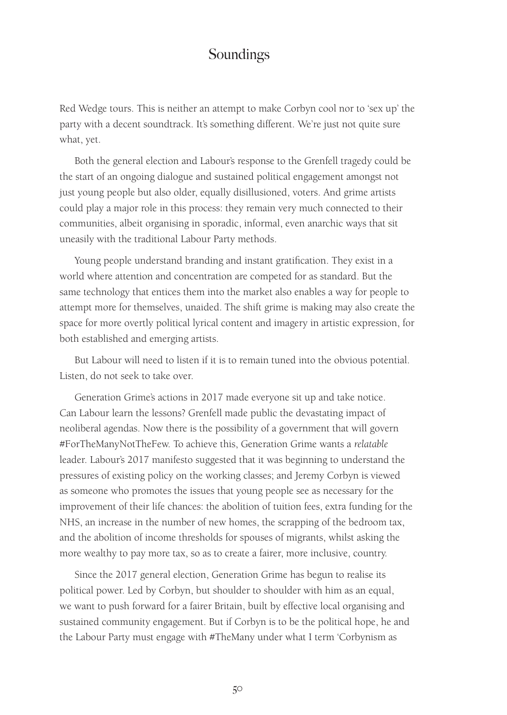Red Wedge tours. This is neither an attempt to make Corbyn cool nor to 'sex up' the party with a decent soundtrack. It's something different. We're just not quite sure what, yet.

Both the general election and Labour's response to the Grenfell tragedy could be the start of an ongoing dialogue and sustained political engagement amongst not just young people but also older, equally disillusioned, voters. And grime artists could play a major role in this process: they remain very much connected to their communities, albeit organising in sporadic, informal, even anarchic ways that sit uneasily with the traditional Labour Party methods.

Young people understand branding and instant gratification. They exist in a world where attention and concentration are competed for as standard. But the same technology that entices them into the market also enables a way for people to attempt more for themselves, unaided. The shift grime is making may also create the space for more overtly political lyrical content and imagery in artistic expression, for both established and emerging artists.

But Labour will need to listen if it is to remain tuned into the obvious potential. Listen, do not seek to take over.

Generation Grime's actions in 2017 made everyone sit up and take notice. Can Labour learn the lessons? Grenfell made public the devastating impact of neoliberal agendas. Now there is the possibility of a government that will govern #ForTheManyNotTheFew. To achieve this, Generation Grime wants a *relatable* leader. Labour's 2017 manifesto suggested that it was beginning to understand the pressures of existing policy on the working classes; and Jeremy Corbyn is viewed as someone who promotes the issues that young people see as necessary for the improvement of their life chances: the abolition of tuition fees, extra funding for the NHS, an increase in the number of new homes, the scrapping of the bedroom tax, and the abolition of income thresholds for spouses of migrants, whilst asking the more wealthy to pay more tax, so as to create a fairer, more inclusive, country.

Since the 2017 general election, Generation Grime has begun to realise its political power. Led by Corbyn, but shoulder to shoulder with him as an equal, we want to push forward for a fairer Britain, built by effective local organising and sustained community engagement. But if Corbyn is to be the political hope, he and the Labour Party must engage with #TheMany under what I term 'Corbynism as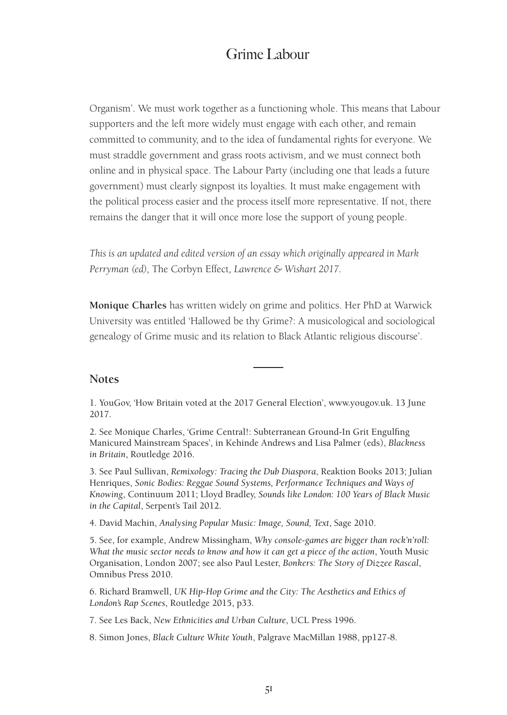Organism'. We must work together as a functioning whole. This means that Labour supporters and the left more widely must engage with each other, and remain committed to community, and to the idea of fundamental rights for everyone. We must straddle government and grass roots activism, and we must connect both online and in physical space. The Labour Party (including one that leads a future government) must clearly signpost its loyalties. It must make engagement with the political process easier and the process itself more representative. If not, there remains the danger that it will once more lose the support of young people.

*This is an updated and edited version of an essay which originally appeared in Mark Perryman (ed),* The Corbyn Effect*, Lawrence & Wishart 2017.*

**Monique Charles** has written widely on grime and politics. Her PhD at Warwick University was entitled 'Hallowed be thy Grime?: A musicological and sociological genealogy of Grime music and its relation to Black Atlantic religious discourse'.

#### **Notes**

1. YouGov, 'How Britain voted at the 2017 General Election', www.yougov.uk. 13 June 2017.

2. See Monique Charles, 'Grime Central!: Subterranean Ground-In Grit Engulfing Manicured Mainstream Spaces', in Kehinde Andrews and Lisa Palmer (eds), *Blackness in Britain*, Routledge 2016.

3. See Paul Sullivan, *Remixology: Tracing the Dub Diaspora*, Reaktion Books 2013; Julian Henriques, *Sonic Bodies: Reggae Sound Systems, Performance Techniques and Ways of Knowing*, Continuum 2011; Lloyd Bradley, *Sounds like London: 100 Years of Black Music in the Capital*, Serpent's Tail 2012.

4. David Machin, *Analysing Popular Music: Image, Sound, Text*, Sage 2010.

5. See, for example, Andrew Missingham, *Why console-games are bigger than rock'n'roll: What the music sector needs to know and how it can get a piece of the action*, Youth Music Organisation, London 2007; see also Paul Lester, *Bonkers: The Story of Dizzee Rascal*, Omnibus Press 2010.

6. Richard Bramwell, *UK Hip-Hop Grime and the City: The Aesthetics and Ethics of London's Rap Scenes*, Routledge 2015, p33.

7. See Les Back, *New Ethnicities and Urban Culture*, UCL Press 1996.

8. Simon Jones, *Black Culture White Youth*, Palgrave MacMillan 1988, pp127-8.